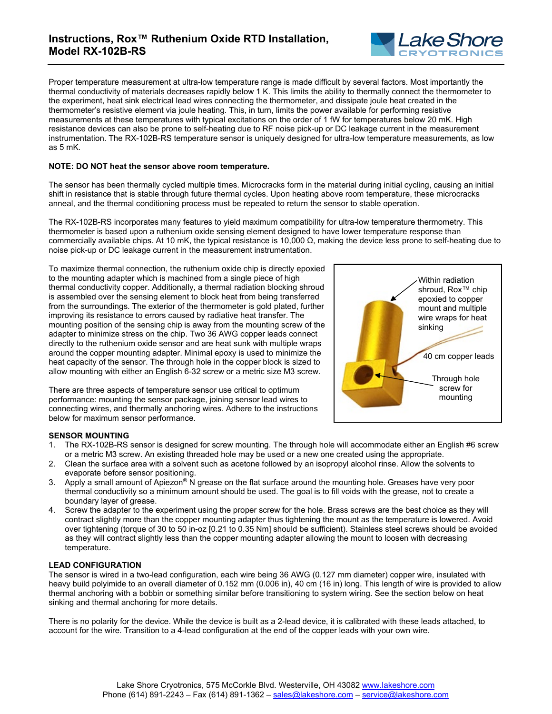

Proper temperature measurement at ultra-low temperature range is made difficult by several factors. Most importantly the thermal conductivity of materials decreases rapidly below 1 K. This limits the ability to thermally connect the thermometer to the experiment, heat sink electrical lead wires connecting the thermometer, and dissipate joule heat created in the thermometer's resistive element via joule heating. This, in turn, limits the power available for performing resistive measurements at these temperatures with typical excitations on the order of 1 fW for temperatures below 20 mK. High resistance devices can also be prone to self-heating due to RF noise pick-up or DC leakage current in the measurement instrumentation. The RX-102B-RS temperature sensor is uniquely designed for ultra-low temperature measurements, as low as 5 mK.

## **NOTE: DO NOT heat the sensor above room temperature.**

The sensor has been thermally cycled multiple times. Microcracks form in the material during initial cycling, causing an initial shift in resistance that is stable through future thermal cycles. Upon heating above room temperature, these microcracks anneal, and the thermal conditioning process must be repeated to return the sensor to stable operation.

The RX-102B-RS incorporates many features to yield maximum compatibility for ultra-low temperature thermometry. This thermometer is based upon a ruthenium oxide sensing element designed to have lower temperature response than commercially available chips. At 10 mK, the typical resistance is 10,000 Ω, making the device less prone to self-heating due to noise pick-up or DC leakage current in the measurement instrumentation.

To maximize thermal connection, the ruthenium oxide chip is directly epoxied to the mounting adapter which is machined from a single piece of high thermal conductivity copper. Additionally, a thermal radiation blocking shroud is assembled over the sensing element to block heat from being transferred from the surroundings. The exterior of the thermometer is gold plated, further improving its resistance to errors caused by radiative heat transfer. The mounting position of the sensing chip is away from the mounting screw of the adapter to minimize stress on the chip. Two 36 AWG copper leads connect directly to the ruthenium oxide sensor and are heat sunk with multiple wraps around the copper mounting adapter. Minimal epoxy is used to minimize the heat capacity of the sensor. The through hole in the copper block is sized to allow mounting with either an English 6-32 screw or a metric size M3 screw.

There are three aspects of temperature sensor use critical to optimum performance: mounting the sensor package, joining sensor lead wires to connecting wires, and thermally anchoring wires. Adhere to the instructions below for maximum sensor performance.



# **SENSOR MOUNTING**

- 1. The RX-102B-RS sensor is designed for screw mounting. The through hole will accommodate either an English #6 screw or a metric M3 screw. An existing threaded hole may be used or a new one created using the appropriate.
- 2. Clean the surface area with a solvent such as acetone followed by an isopropyl alcohol rinse. Allow the solvents to evaporate before sensor positioning.
- 3. Apply a small amount of Apiezon® N grease on the flat surface around the mounting hole. Greases have very poor thermal conductivity so a minimum amount should be used. The goal is to fill voids with the grease, not to create a boundary layer of grease.
- 4. Screw the adapter to the experiment using the proper screw for the hole. Brass screws are the best choice as they will contract slightly more than the copper mounting adapter thus tightening the mount as the temperature is lowered. Avoid over tightening (torque of 30 to 50 in-oz [0.21 to 0.35 Nm] should be sufficient). Stainless steel screws should be avoided as they will contract slightly less than the copper mounting adapter allowing the mount to loosen with decreasing temperature.

### **LEAD CONFIGURATION**

The sensor is wired in a two-lead configuration, each wire being 36 AWG (0.127 mm diameter) copper wire, insulated with heavy build polyimide to an overall diameter of 0.152 mm (0.006 in), 40 cm (16 in) long. This length of wire is provided to allow thermal anchoring with a bobbin or something similar before transitioning to system wiring. See the section below on heat sinking and thermal anchoring for more details.

There is no polarity for the device. While the device is built as a 2-lead device, it is calibrated with these leads attached, to account for the wire. Transition to a 4-lead configuration at the end of the copper leads with your own wire.